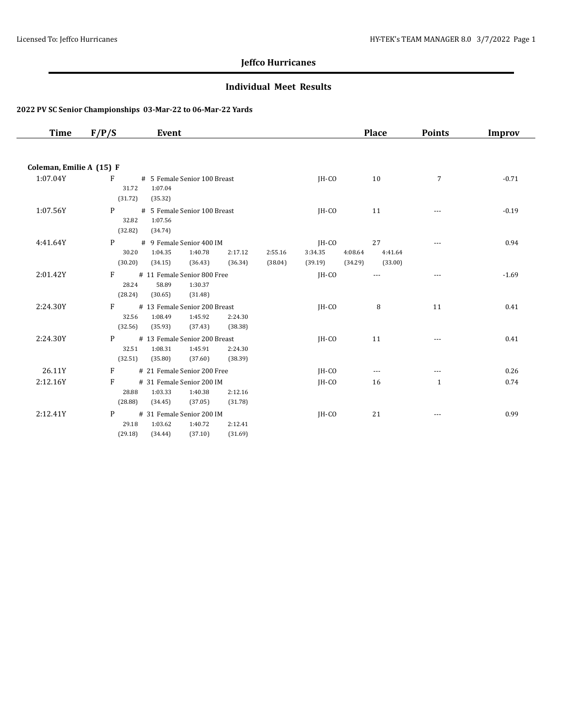### **Individual Meet Results**

| Time                     | F/P/S<br>Event                                                                                                                            |                                                   | <b>Place</b>             | <b>Points</b> | <b>Improv</b> |
|--------------------------|-------------------------------------------------------------------------------------------------------------------------------------------|---------------------------------------------------|--------------------------|---------------|---------------|
|                          |                                                                                                                                           |                                                   |                          |               |               |
| Coleman, Emilie A (15) F |                                                                                                                                           |                                                   |                          |               |               |
| 1:07.04Y                 | F<br># 5 Female Senior 100 Breast<br>31.72<br>1:07.04<br>(31.72)<br>(35.32)                                                               | $IH-CO$                                           | 10                       | 7             | $-0.71$       |
| 1:07.56Y                 | P<br># 5 Female Senior 100 Breast<br>32.82<br>1:07.56<br>(32.82)<br>(34.74)                                                               | IH-CO                                             | 11                       |               | $-0.19$       |
| 4:41.64Y                 | # 9 Female Senior 400 IM<br>P<br>30.20<br>1:40.78<br>1:04.35<br>2:17.12<br>2:55.16<br>(30.20)<br>(34.15)<br>(36.43)<br>(36.34)<br>(38.04) | JH-CO<br>4:08.64<br>3:34.35<br>(34.29)<br>(39.19) | 27<br>4:41.64<br>(33.00) | ---           | 0.94          |
| 2:01.42Y                 | F<br># 11 Female Senior 800 Free<br>58.89<br>28.24<br>1:30.37<br>(28.24)<br>(30.65)<br>(31.48)                                            | IH-CO                                             |                          | $\frac{1}{2}$ | $-1.69$       |
| 2:24.30Y                 | F<br># 13 Female Senior 200 Breast<br>32.56<br>1:08.49<br>1:45.92<br>2:24.30<br>(32.56)<br>(35.93)<br>(37.43)<br>(38.38)                  | JH-CO                                             | 8                        | 11            | 0.41          |
| 2:24.30Y                 | P<br># 13 Female Senior 200 Breast<br>32.51<br>1:08.31<br>1:45.91<br>2:24.30<br>(32.51)<br>(35.80)<br>(38.39)<br>(37.60)                  | $IH-CO$                                           | 11                       |               | 0.41          |
| 26.11Y                   | # 21 Female Senior 200 Free<br>F                                                                                                          | $IH-CO$                                           | $\cdots$                 | ---           | 0.26          |
| 2:12.16Y                 | F<br># 31 Female Senior 200 IM<br>28.88<br>1:03.33<br>1:40.38<br>2:12.16<br>(28.88)<br>(34.45)<br>(37.05)<br>(31.78)                      | $IH-CO$                                           | 16                       | $\mathbf{1}$  | 0.74          |
| 2:12.41Y                 | P<br># 31 Female Senior 200 IM<br>29.18<br>1:03.62<br>1:40.72<br>2:12.41<br>(29.18)<br>(34.44)<br>(37.10)<br>(31.69)                      | JH-CO                                             | 21                       |               | 0.99          |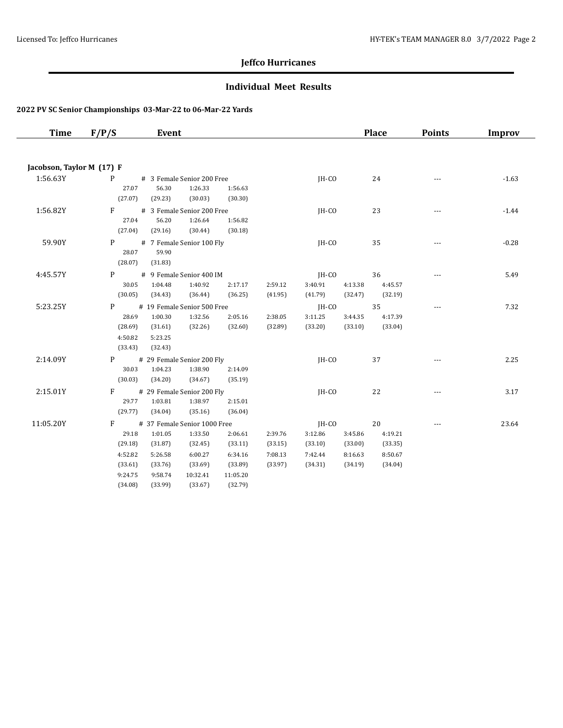### **Individual Meet Results**

| Time                      | F/P/S             | Event                                 |                    |                    |                    |                    |         | <b>Place</b>  | <b>Points</b>  | Improv  |
|---------------------------|-------------------|---------------------------------------|--------------------|--------------------|--------------------|--------------------|---------|---------------|----------------|---------|
|                           |                   |                                       |                    |                    |                    |                    |         |               |                |         |
| Jacobson, Taylor M (17) F |                   |                                       |                    |                    |                    |                    |         |               |                |         |
| 1:56.63Y                  | $P \qquad \qquad$ | # 3 Female Senior 200 Free            |                    |                    |                    | JH-CO              |         | 24            | $- - -$        | $-1.63$ |
|                           | 27.07             | 56.30                                 | 1:26.33            | 1:56.63            |                    |                    |         |               |                |         |
| 1:56.82Y                  | (27.07)<br>$F =$  | (29.23)                               | (30.03)            | (30.30)            |                    |                    |         |               |                |         |
|                           | 27.04             | # 3 Female Senior 200 Free<br>56.20   | 1:26.64            | 1:56.82            |                    | IH-CO              |         | 23            | ---            | $-1.44$ |
|                           | (27.04)           | (29.16)                               | (30.44)            | (30.18)            |                    |                    |         |               |                |         |
| 59.90Y                    | P                 | # 7 Female Senior 100 Fly             |                    |                    |                    | IH-CO              |         | 35            | ---            | $-0.28$ |
|                           | 28.07             | 59.90                                 |                    |                    |                    |                    |         |               |                |         |
|                           | (28.07)           | (31.83)                               |                    |                    |                    |                    |         |               |                |         |
| 4:45.57Y                  | P                 | # 9 Female Senior 400 IM              |                    |                    |                    | IH-CO              | 4:13.38 | 36<br>4:45.57 |                | 5.49    |
|                           | 30.05<br>(30.05)  | 1:04.48<br>(34.43)                    | 1:40.92<br>(36.44) | 2:17.17<br>(36.25) | 2:59.12<br>(41.95) | 3:40.91<br>(41.79) | (32.47) | (32.19)       |                |         |
| 5:23.25Y                  | P                 | # 19 Female Senior 500 Free           |                    |                    |                    | $IH-CO$            |         | 35            | $\cdots$       | 7.32    |
|                           | 28.69             | 1:00.30                               | 1:32.56            | 2:05.16            | 2:38.05            | 3:11.25            | 3:44.35 | 4:17.39       |                |         |
|                           | (28.69)           | (31.61)                               | (32.26)            | (32.60)            | (32.89)            | (33.20)            | (33.10) | (33.04)       |                |         |
|                           | 4:50.82           | 5:23.25                               |                    |                    |                    |                    |         |               |                |         |
|                           | (33.43)           | (32.43)                               |                    |                    |                    |                    |         |               |                |         |
| 2:14.09Y                  | P <sub>2</sub>    | # 29 Female Senior 200 Fly            |                    |                    |                    | JH-CO              |         | 37            | ---            | 2.25    |
|                           | 30.03             | 1:04.23                               | 1:38.90            | 2:14.09            |                    |                    |         |               |                |         |
|                           | (30.03)           | (34.20)                               | (34.67)            | (35.19)            |                    |                    |         |               |                |         |
| 2:15.01Y                  | F<br>29.77        | # 29 Female Senior 200 Fly<br>1:03.81 | 1:38.97            | 2:15.01            |                    | $IH-CO$            |         | 22            | $- - -$        | 3.17    |
|                           | (29.77)           | (34.04)                               | (35.16)            | (36.04)            |                    |                    |         |               |                |         |
| 11:05.20Y                 | F                 | # 37 Female Senior 1000 Free          |                    |                    |                    | 20<br>JH-CO        |         |               | $\overline{a}$ | 23.64   |
|                           | 29.18             | 1:01.05                               | 1:33.50            | 2:06.61            | 2:39.76            | 3:12.86            | 3:45.86 | 4:19.21       |                |         |
|                           | (29.18)           | (31.87)                               | (32.45)            | (33.11)            | (33.15)            | (33.10)            | (33.00) | (33.35)       |                |         |
|                           | 4:52.82           | 5:26.58                               | 6:00.27            | 6:34.16            | 7:08.13            | 7:42.44            | 8:16.63 | 8:50.67       |                |         |
|                           | (33.61)           | (33.76)                               | (33.69)            | (33.89)            | (33.97)            | (34.31)            | (34.19) | (34.04)       |                |         |
|                           | 9:24.75           | 9:58.74                               | 10:32.41           | 11:05.20           |                    |                    |         |               |                |         |
|                           | (34.08)           | (33.99)                               | (33.67)            | (32.79)            |                    |                    |         |               |                |         |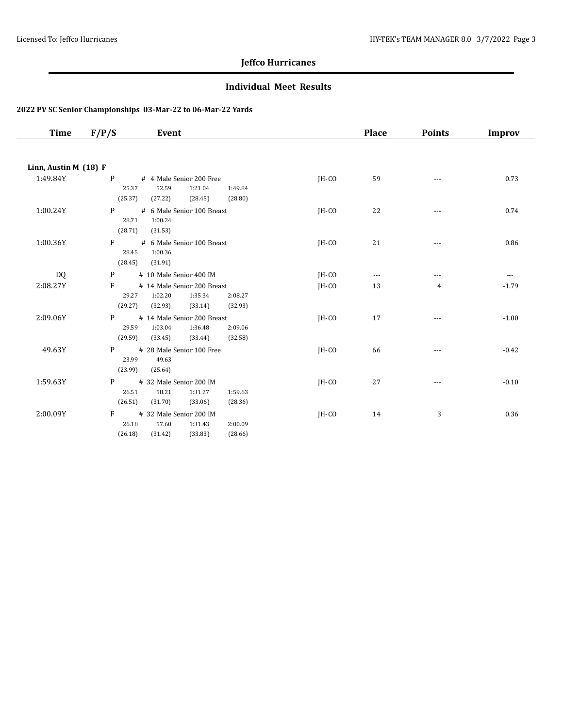### **Individual Meet Results**

| Time                  | F/P/S<br>Event                                                                                                                         |         | <b>Place</b> | <b>Points</b>  | Improv   |
|-----------------------|----------------------------------------------------------------------------------------------------------------------------------------|---------|--------------|----------------|----------|
|                       |                                                                                                                                        |         |              |                |          |
| Linn, Austin M (18) F |                                                                                                                                        |         |              |                |          |
| 1:49.84Y              | # 4 Male Senior 200 Free<br>P<br>25.37<br>52.59<br>1:21.04<br>1:49.84<br>(25.37)<br>(27.22)<br>(28.45)<br>(28.80)                      | $IH-CO$ | 59           | $\cdots$       | 0.73     |
| 1:00.24Y              | P <sub>2</sub><br># 6 Male Senior 100 Breast<br>28.71<br>1:00.24<br>(28.71)<br>(31.53)                                                 | JH-CO   | 22           |                | 0.74     |
| 1:00.36Y              | $F =$<br># 6 Male Senior 100 Breast<br>28.45<br>1:00.36<br>(28.45)<br>(31.91)                                                          | $IH-CO$ | 21           |                | 0.86     |
| DQ.                   | # 10 Male Senior 400 IM<br>P                                                                                                           | IH-CO   | $\cdots$     | ---            | $\cdots$ |
| 2:08.27Y              | F<br># 14 Male Senior 200 Breast<br>29.27<br>1:02.20<br>1:35.34<br>2:08.27<br>(29.27)<br>(32.93)<br>(33.14)<br>(32.93)                 | IH-CO   | 13           | $\overline{4}$ | $-1.79$  |
| 2:09.06Y              | $P \qquad \qquad$<br># 14 Male Senior 200 Breast<br>29.59<br>1:03.04<br>1:36.48<br>2:09.06<br>(29.59)<br>(33.45)<br>(33.44)<br>(32.58) | IH-CO   | 17           | $---$          | $-1.00$  |
| 49.63Y                | # 28 Male Senior 100 Free<br>P <sub>2</sub><br>23.99<br>49.63<br>(23.99)<br>(25.64)                                                    | JH-CO   | 66           | ---            | $-0.42$  |
| 1:59.63Y              | # 32 Male Senior 200 IM<br>P <sub>2</sub><br>26.51<br>58.21<br>1:31.27<br>1:59.63<br>(26.51)<br>(31.70)<br>(33.06)<br>(28.36)          | JH-CO   | 27           |                | $-0.10$  |
| 2:00.09Y              | $F =$<br># 32 Male Senior 200 IM<br>26.18<br>57.60<br>1:31.43<br>2:00.09<br>(26.18)<br>(31.42)<br>(33.83)<br>(28.66)                   | $IH-CO$ | 14           | $\mathbf{3}$   | 0.36     |